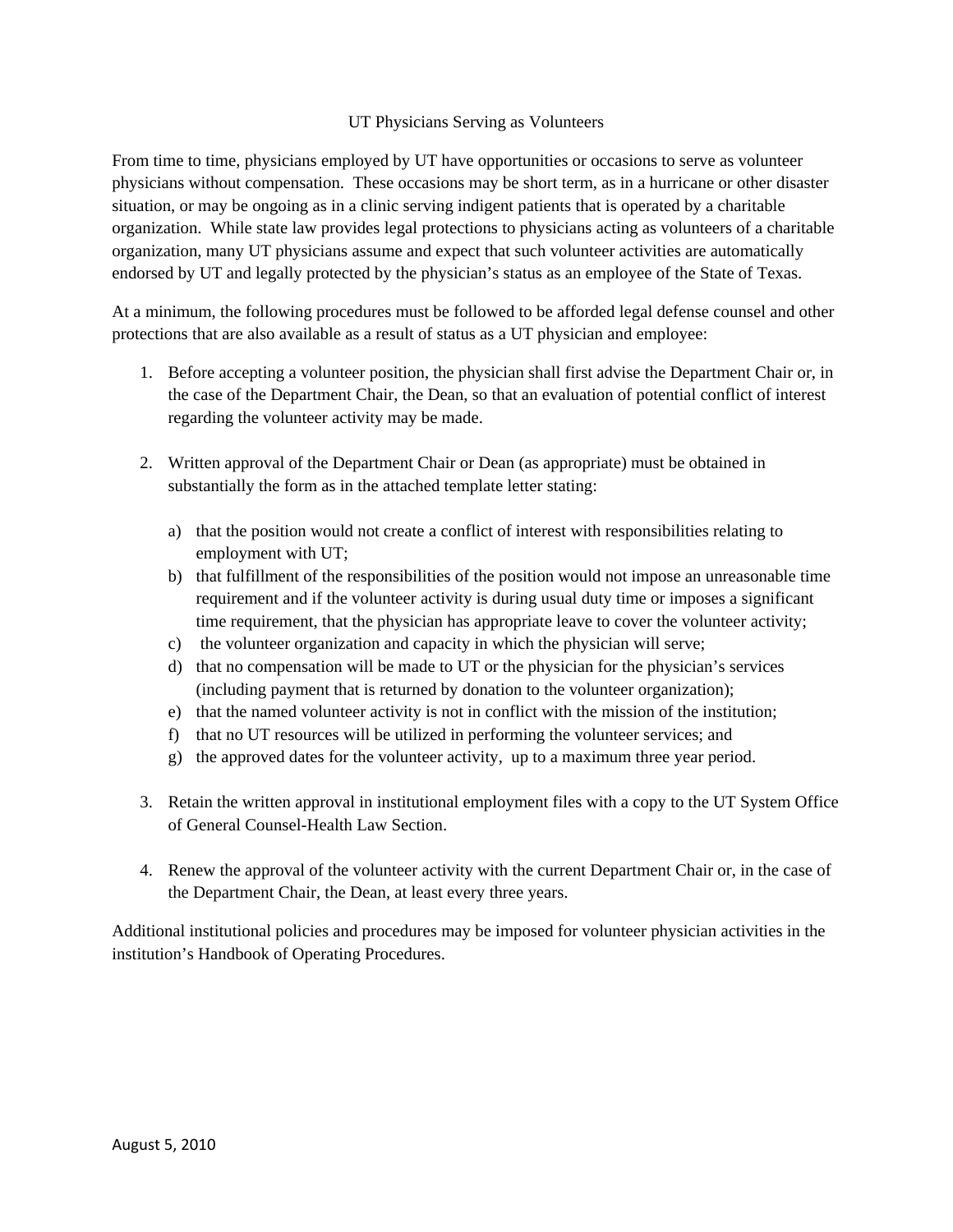## UT Physicians Serving as Volunteers

From time to time, physicians employed by UT have opportunities or occasions to serve as volunteer physicians without compensation. These occasions may be short term, as in a hurricane or other disaster situation, or may be ongoing as in a clinic serving indigent patients that is operated by a charitable organization. While state law provides legal protections to physicians acting as volunteers of a charitable organization, many UT physicians assume and expect that such volunteer activities are automatically endorsed by UT and legally protected by the physician's status as an employee of the State of Texas.

At a minimum, the following procedures must be followed to be afforded legal defense counsel and other protections that are also available as a result of status as a UT physician and employee:

- 1. Before accepting a volunteer position, the physician shall first advise the Department Chair or, in the case of the Department Chair, the Dean, so that an evaluation of potential conflict of interest regarding the volunteer activity may be made.
- 2. Written approval of the Department Chair or Dean (as appropriate) must be obtained in substantially the form as in the attached template letter stating:
	- a) that the position would not create a conflict of interest with responsibilities relating to employment with UT;
	- b) that fulfillment of the responsibilities of the position would not impose an unreasonable time requirement and if the volunteer activity is during usual duty time or imposes a significant time requirement, that the physician has appropriate leave to cover the volunteer activity;
	- c) the volunteer organization and capacity in which the physician will serve;
	- d) that no compensation will be made to UT or the physician for the physician's services (including payment that is returned by donation to the volunteer organization);
	- e) that the named volunteer activity is not in conflict with the mission of the institution;
	- f) that no UT resources will be utilized in performing the volunteer services; and
	- g) the approved dates for the volunteer activity, up to a maximum three year period.
- 3. Retain the written approval in institutional employment files with a copy to the UT System Office of General Counsel-Health Law Section.
- 4. Renew the approval of the volunteer activity with the current Department Chair or, in the case of the Department Chair, the Dean, at least every three years.

Additional institutional policies and procedures may be imposed for volunteer physician activities in the institution's Handbook of Operating Procedures.